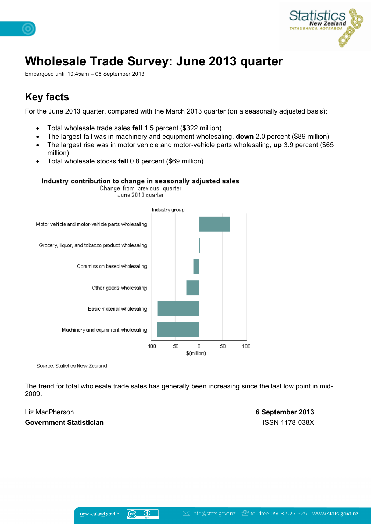

# **Wholesale Trade Survey: June 2013 quarter**

Embargoed until 10:45am – 06 September 2013

### **Key facts**

For the June 2013 quarter, compared with the March 2013 quarter (on a seasonally adjusted basis):

- Total wholesale trade sales **fell** 1.5 percent (\$322 million).
- The largest fall was in machinery and equipment wholesaling, **down** 2.0 percent (\$89 million).
- The largest rise was in motor vehicle and motor-vehicle parts wholesaling, **up** 3.9 percent (\$65 million).
- Total wholesale stocks **fell** 0.8 percent (\$69 million).



#### Industry contribution to change in seasonally adjusted sales Change from previous quarter

Source: Statistics New Zealand

The trend for total wholesale trade sales has generally been increasing since the last low point in mid-2009.

#### **Government Statistician** ISSN 1178-038X

Liz MacPherson **6 September 2013**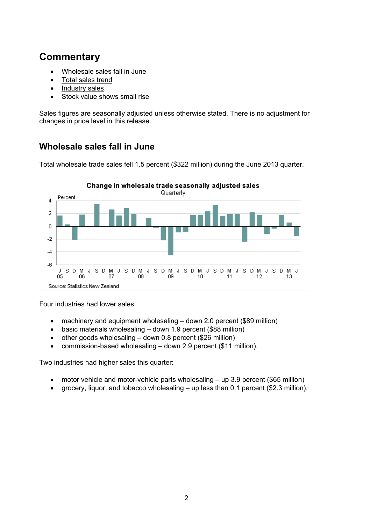### **Commentary**

- [Wholesale](#page-1-0) [sales](#page-1-0) [fall](#page-1-0) [in](#page-1-0) [June](#page-1-0)
- [Total](#page-1-1) [sales](#page-1-1) [trend](#page-1-1)
- [Industry](#page-2-0) [sales](#page-2-0)
- [Stock](#page-5-0) [value](#page-5-0) [shows](#page-5-0) [small](#page-5-0) [rise](#page-5-0)

Sales figures are seasonally adjusted unless otherwise stated. There is no adjustment for changes in price level in this release.

### <span id="page-1-0"></span>**Wholesale sales fall in June**

Total wholesale trade sales fell 1.5 percent (\$322 million) during the June 2013 quarter.



Four industries had lower sales:

- machinery and equipment wholesaling down 2.0 percent (\$89 million)
- basic materials wholesaling down 1.9 percent (\$88 million)
- $\bullet$  other goods wholesaling down 0.8 percent (\$26 million)
- commission-based wholesaling down 2.9 percent (\$11 million).

Two industries had higher sales this quarter:

- motor vehicle and motor-vehicle parts wholesaling up 3.9 percent (\$65 million)
- <span id="page-1-1"></span>grocery, liquor, and tobacco wholesaling – up less than 0.1 percent (\$2.3 million).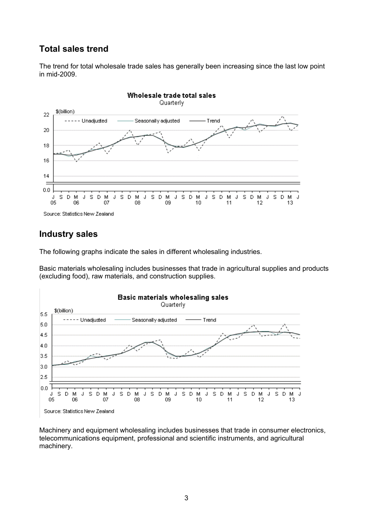### **Total sales trend**

The trend for total wholesale trade sales has generally been increasing since the last low point in mid-2009.



### <span id="page-2-0"></span>**Industry sales**

The following graphs indicate the sales in different wholesaling industries.

Basic materials wholesaling includes businesses that trade in agricultural supplies and products (excluding food), raw materials, and construction supplies.



Machinery and equipment wholesaling includes businesses that trade in consumer electronics, telecommunications equipment, professional and scientific instruments, and agricultural machinery.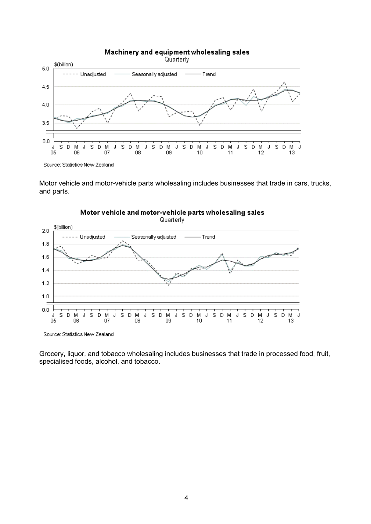

Motor vehicle and motor-vehicle parts wholesaling includes businesses that trade in cars, trucks, and parts.



Grocery, liquor, and tobacco wholesaling includes businesses that trade in processed food, fruit, specialised foods, alcohol, and tobacco.

### Motor vehicle and motor-vehicle parts wholesaling sales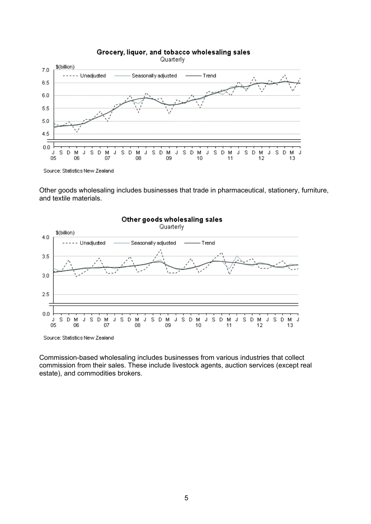

Other goods wholesaling includes businesses that trade in pharmaceutical, stationery, furniture, and textile materials.



Commission-based wholesaling includes businesses from various industries that collect commission from their sales. These include livestock agents, auction services (except real estate), and commodities brokers.

#### Grocery, liquor, and tobacco wholesaling sales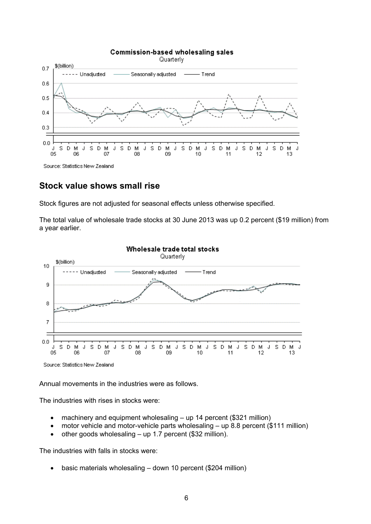

### <span id="page-5-0"></span>**Stock value shows small rise**

Stock figures are not adjusted for seasonal effects unless otherwise specified.

The total value of wholesale trade stocks at 30 June 2013 was up 0.2 percent (\$19 million) from a year earlier.



Source: Statistics New Zealand

Annual movements in the industries were as follows.

The industries with rises in stocks were:

- machinery and equipment wholesaling up 14 percent (\$321 million)
- motor vehicle and motor-vehicle parts wholesaling up 8.8 percent (\$111 million)
- $\bullet$  other goods wholesaling up 1.7 percent (\$32 million).

The industries with falls in stocks were:

basic materials wholesaling – down 10 percent (\$204 million)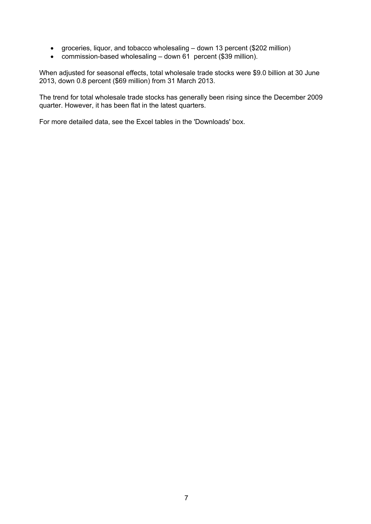- groceries, liquor, and tobacco wholesaling down 13 percent (\$202 million)
- commission-based wholesaling down 61 percent (\$39 million).

When adjusted for seasonal effects, total wholesale trade stocks were \$9.0 billion at 30 June 2013, down 0.8 percent (\$69 million) from 31 March 2013.

The trend for total wholesale trade stocks has generally been rising since the December 2009 quarter. However, it has been flat in the latest quarters.

For more detailed data, see the Excel tables in the 'Downloads' box.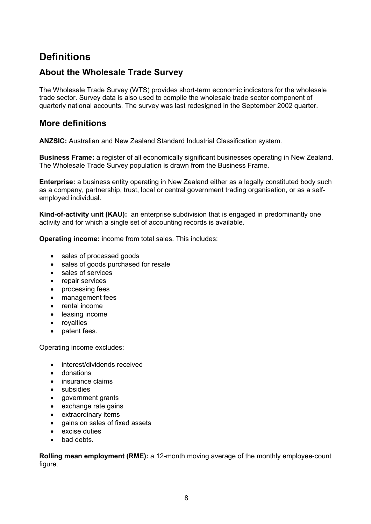### **Definitions**

### **About the Wholesale Trade Survey**

The Wholesale Trade Survey (WTS) provides short-term economic indicators for the wholesale trade sector. Survey data is also used to compile the wholesale trade sector component of quarterly national accounts. The survey was last redesigned in the September 2002 quarter.

### **More definitions**

**ANZSIC:** Australian and New Zealand Standard Industrial Classification system.

**Business Frame:** a register of all economically significant businesses operating in New Zealand. The Wholesale Trade Survey population is drawn from the Business Frame.

**Enterprise:** a business entity operating in New Zealand either as a legally constituted body such as a company, partnership, trust, local or central government trading organisation, or as a selfemployed individual.

**Kind-of-activity unit (KAU):** an enterprise subdivision that is engaged in predominantly one activity and for which a single set of accounting records is available.

**Operating income:** income from total sales. This includes:

- sales of processed goods
- sales of goods purchased for resale
- sales of services
- repair services
- processing fees
- management fees
- rental income
- leasing income
- royalties
- patent fees.

Operating income excludes:

- interest/dividends received
- **a** donations
- insurance claims
- subsidies
- government grants
- exchange rate gains
- extraordinary items
- gains on sales of fixed assets
- excise duties
- bad debts.

**Rolling mean employment (RME):** a 12-month moving average of the monthly employee-count figure.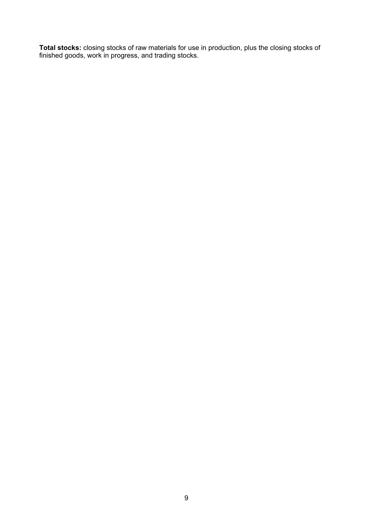**Total stocks:** closing stocks of raw materials for use in production, plus the closing stocks of finished goods, work in progress, and trading stocks.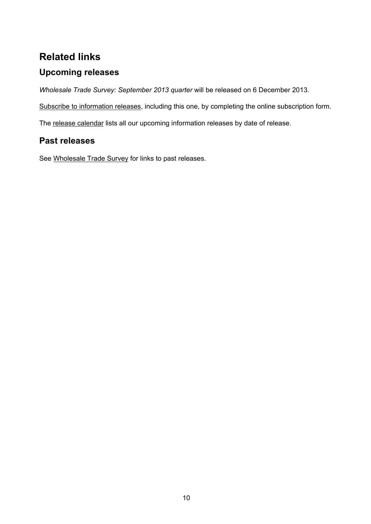### **Related links**

### **Upcoming releases**

*Wholesale Trade Survey: September 2013 quarter* will be released on 6 December 2013.

[Subscribe](http://www.stats.govt.nz/tools_and_services/services/releases-subscription.aspx) [to](http://www.stats.govt.nz/tools_and_services/services/releases-subscription.aspx) [information](http://www.stats.govt.nz/tools_and_services/services/releases-subscription.aspx) [releases](http://www.stats.govt.nz/tools_and_services/services/releases-subscription.aspx), including this one, by completing the online subscription form.

The [release](http://www.stats.govt.nz/about_us/news_and_events/release-calendar.aspx) [calendar](http://www.stats.govt.nz/about_us/news_and_events/release-calendar.aspx) lists all our upcoming information releases by date of release.

### **Past releases**

See [Wholesale](http://www.stats.govt.nz/browse_for_stats/industry_sectors/wholesale_trade/info-releases.aspx) [Trade](http://www.stats.govt.nz/browse_for_stats/industry_sectors/wholesale_trade/info-releases.aspx) [Survey](http://www.stats.govt.nz/browse_for_stats/industry_sectors/wholesale_trade/info-releases.aspx) for links to past releases.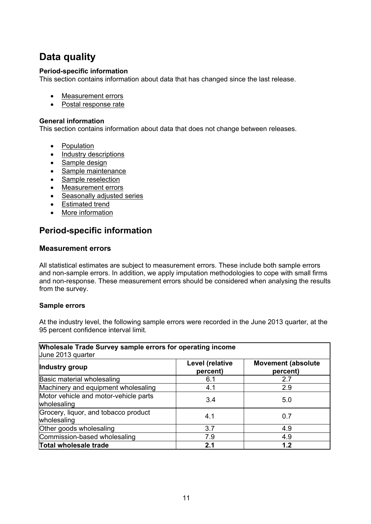### **Data quality**

### **Period-specific information**

This section contains information about data that has changed since the last release.

- [Measurement](#page-10-0) [errors](#page-10-0)
- [Postal](#page-11-0) [response](#page-11-0) [rate](#page-11-0)

### **General information**

This section contains information about data that does not change between releases.

- [Population](#page-12-0)
- [Industry](#page-12-1) [descriptions](#page-12-1)
- [Sample](#page-12-2) [design](#page-12-2)
- [Sample](#page-13-0) [maintenance](#page-13-0)
- [Sample](#page-13-1) [reselection](#page-13-1)
- [Measurement](#page-13-2) [errors](#page-13-2)
- [Seasonally](#page-13-3) [adjusted](#page-13-3) [series](#page-13-3)
- [Estimated](#page-14-0) [trend](#page-14-0)
- [More](#page-14-1) [information](#page-14-1)

### **Period-specific information**

### <span id="page-10-0"></span>**Measurement errors**

All statistical estimates are subject to measurement errors. These include both sample errors and non-sample errors. In addition, we apply imputation methodologies to cope with small firms and non-response. These measurement errors should be considered when analysing the results from the survey.

### **Sample errors**

At the industry level, the following sample errors were recorded in the June 2013 quarter, at the 95 percent confidence interval limit.

| <b>Wholesale Trade Survey sample errors for operating income</b><br>June 2013 quarter |                             |                                       |  |  |  |
|---------------------------------------------------------------------------------------|-----------------------------|---------------------------------------|--|--|--|
| Industry group                                                                        | Level (relative<br>percent) | <b>Movement (absolute</b><br>percent) |  |  |  |
| Basic material wholesaling                                                            | 6.1                         | 2.7                                   |  |  |  |
| Machinery and equipment wholesaling                                                   | 4.1                         | 2.9                                   |  |  |  |
| Motor vehicle and motor-vehicle parts<br>wholesaling                                  | 3.4                         | 5.0                                   |  |  |  |
| Grocery, liquor, and tobacco product<br>wholesaling                                   | 4.1                         | 0.7                                   |  |  |  |
| Other goods wholesaling                                                               | 3.7                         | 4.9                                   |  |  |  |
| Commission-based wholesaling                                                          | 7.9                         | 4.9                                   |  |  |  |
| <b>Total wholesale trade</b>                                                          | 2.1                         | 1.2                                   |  |  |  |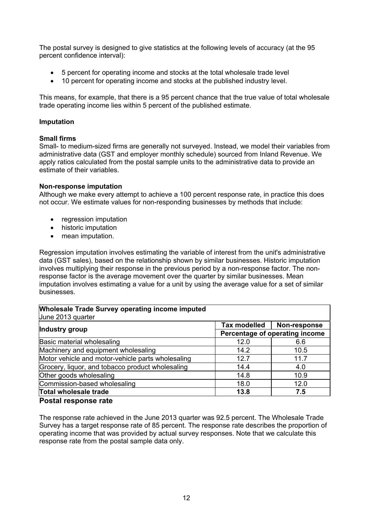The postal survey is designed to give statistics at the following levels of accuracy (at the 95 percent confidence interval):

- 5 percent for operating income and stocks at the total wholesale trade level
- 10 percent for operating income and stocks at the published industry level.

This means, for example, that there is a 95 percent chance that the true value of total wholesale trade operating income lies within 5 percent of the published estimate.

### **Imputation**

### **Small firms**

Small- to medium-sized firms are generally not surveyed. Instead, we model their variables from administrative data (GST and employer monthly schedule) sourced from Inland Revenue. We apply ratios calculated from the postal sample units to the administrative data to provide an estimate of their variables.

#### **Non-response imputation**

Although we make every attempt to achieve a 100 percent response rate, in practice this does not occur. We estimate values for non-responding businesses by methods that include:

- regression imputation
- historic imputation
- mean imputation.

Regression imputation involves estimating the variable of interest from the unit's administrative data (GST sales), based on the relationship shown by similar businesses. Historic imputation involves multiplying their response in the previous period by a non-response factor. The nonresponse factor is the average movement over the quarter by similar businesses. Mean imputation involves estimating a value for a unit by using the average value for a set of similar businesses.

### **Wholesale Trade Survey operating income imputed**

| June 2013 quarter                                 |                                                                                |              |  |  |
|---------------------------------------------------|--------------------------------------------------------------------------------|--------------|--|--|
|                                                   | Tax modelled                                                                   | Non-response |  |  |
| Industry group                                    | Percentage of operating income<br>12.0<br>14.2<br>12.7<br>14.4<br>14.8<br>18.0 |              |  |  |
| Basic material wholesaling                        |                                                                                | 6.6          |  |  |
| Machinery and equipment wholesaling               |                                                                                | 10.5         |  |  |
| Motor vehicle and motor-vehicle parts wholesaling |                                                                                | 11.7         |  |  |
| Grocery, liquor, and tobacco product wholesaling  |                                                                                | 4.0          |  |  |
| Other goods wholesaling                           |                                                                                | 10.9         |  |  |
| Commission-based wholesaling                      |                                                                                | 12.0         |  |  |
| <b>Total wholesale trade</b>                      | 13.8                                                                           | 7.5          |  |  |

### <span id="page-11-0"></span>**Postal response rate**

The response rate achieved in the June 2013 quarter was 92.5 percent. The Wholesale Trade Survey has a target response rate of 85 percent. The response rate describes the proportion of operating income that was provided by actual survey responses. Note that we calculate this response rate from the postal sample data only.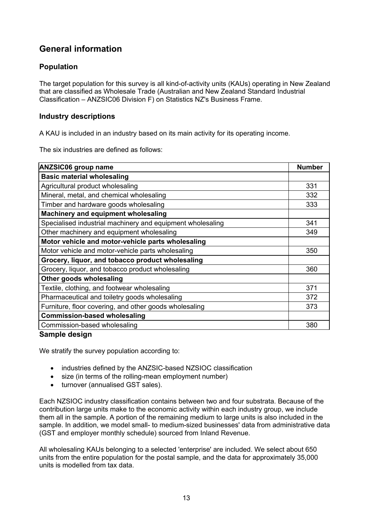### **General information**

### <span id="page-12-0"></span>**Population**

The target population for this survey is all kind-of-activity units (KAUs) operating in New Zealand that are classified as Wholesale Trade (Australian and New Zealand Standard Industrial Classification – ANZSIC06 Division F) on Statistics NZ's Business Frame.

### <span id="page-12-1"></span>**Industry descriptions**

A KAU is included in an industry based on its main activity for its operating income.

The six industries are defined as follows:

| <b>ANZSIC06 group name</b>                                 |     |
|------------------------------------------------------------|-----|
| <b>Basic material wholesaling</b>                          |     |
| Agricultural product wholesaling                           | 331 |
| Mineral, metal, and chemical wholesaling                   | 332 |
| Timber and hardware goods wholesaling                      | 333 |
| Machinery and equipment wholesaling                        |     |
| Specialised industrial machinery and equipment wholesaling | 341 |
| Other machinery and equipment wholesaling                  | 349 |
| Motor vehicle and motor-vehicle parts wholesaling          |     |
| Motor vehicle and motor-vehicle parts wholesaling          | 350 |
| Grocery, liquor, and tobacco product wholesaling           |     |
| Grocery, liquor, and tobacco product wholesaling           | 360 |
| Other goods wholesaling                                    |     |
| Textile, clothing, and footwear wholesaling                | 371 |
| Pharmaceutical and toiletry goods wholesaling              | 372 |
| Furniture, floor covering, and other goods wholesaling     | 373 |
| <b>Commission-based wholesaling</b>                        |     |
| Commission-based wholesaling                               | 380 |

### <span id="page-12-2"></span>**Sample design**

We stratify the survey population according to:

- industries defined by the ANZSIC-based NZSIOC classification
- size (in terms of the rolling-mean employment number)
- turnover (annualised GST sales).

Each NZSIOC industry classification contains between two and four substrata. Because of the contribution large units make to the economic activity within each industry group, we include them all in the sample. A portion of the remaining medium to large units is also included in the sample. In addition, we model small- to medium-sized businesses' data from administrative data (GST and employer monthly schedule) sourced from Inland Revenue.

All wholesaling KAUs belonging to a selected 'enterprise' are included. We select about 650 units from the entire population for the postal sample, and the data for approximately 35,000 units is modelled from tax data.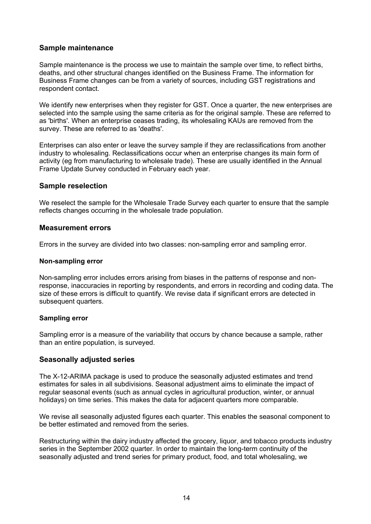### <span id="page-13-0"></span>**Sample maintenance**

Sample maintenance is the process we use to maintain the sample over time, to reflect births, deaths, and other structural changes identified on the Business Frame. The information for Business Frame changes can be from a variety of sources, including GST registrations and respondent contact.

We identify new enterprises when they register for GST. Once a quarter, the new enterprises are selected into the sample using the same criteria as for the original sample. These are referred to as 'births'. When an enterprise ceases trading, its wholesaling KAUs are removed from the survey. These are referred to as 'deaths'.

Enterprises can also enter or leave the survey sample if they are reclassifications from another industry to wholesaling. Reclassifications occur when an enterprise changes its main form of activity (eg from manufacturing to wholesale trade). These are usually identified in the Annual Frame Update Survey conducted in February each year.

### <span id="page-13-1"></span>**Sample reselection**

We reselect the sample for the Wholesale Trade Survey each quarter to ensure that the sample reflects changes occurring in the wholesale trade population.

#### <span id="page-13-2"></span>**Measurement errors**

Errors in the survey are divided into two classes: non-sampling error and sampling error.

#### **Non-sampling error**

Non-sampling error includes errors arising from biases in the patterns of response and nonresponse, inaccuracies in reporting by respondents, and errors in recording and coding data. The size of these errors is difficult to quantify. We revise data if significant errors are detected in subsequent quarters.

### **Sampling error**

Sampling error is a measure of the variability that occurs by chance because a sample, rather than an entire population, is surveyed.

### <span id="page-13-3"></span>**Seasonally adjusted series**

The X-12-ARIMA package is used to produce the seasonally adjusted estimates and trend estimates for sales in all subdivisions. Seasonal adjustment aims to eliminate the impact of regular seasonal events (such as annual cycles in agricultural production, winter, or annual holidays) on time series. This makes the data for adjacent quarters more comparable.

We revise all seasonally adjusted figures each quarter. This enables the seasonal component to be better estimated and removed from the series.

Restructuring within the dairy industry affected the grocery, liquor, and tobacco products industry series in the September 2002 quarter. In order to maintain the long-term continuity of the seasonally adjusted and trend series for primary product, food, and total wholesaling, we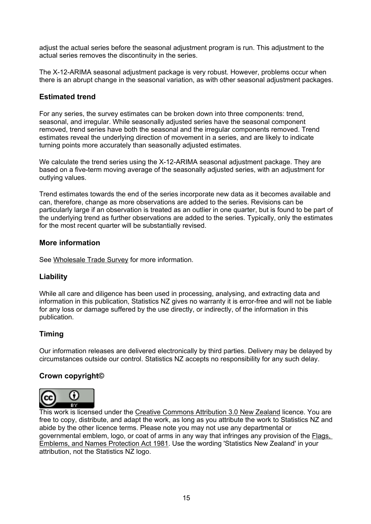adjust the actual series before the seasonal adjustment program is run. This adjustment to the actual series removes the discontinuity in the series.

The X-12-ARIMA seasonal adjustment package is very robust. However, problems occur when there is an abrupt change in the seasonal variation, as with other seasonal adjustment packages.

### <span id="page-14-0"></span>**Estimated trend**

For any series, the survey estimates can be broken down into three components: trend, seasonal, and irregular. While seasonally adjusted series have the seasonal component removed, trend series have both the seasonal and the irregular components removed. Trend estimates reveal the underlying direction of movement in a series, and are likely to indicate turning points more accurately than seasonally adjusted estimates.

We calculate the trend series using the X-12-ARIMA seasonal adjustment package. They are based on a five-term moving average of the seasonally adjusted series, with an adjustment for outlying values.

Trend estimates towards the end of the series incorporate new data as it becomes available and can, therefore, change as more observations are added to the series. Revisions can be particularly large if an observation is treated as an outlier in one quarter, but is found to be part of the underlying trend as further observations are added to the series. Typically, only the estimates for the most recent quarter will be substantially revised.

### <span id="page-14-1"></span>**More information**

See [Wholesale](http://www2.stats.govt.nz/domino/external/omni/omni.nsf/outputs/wholesale+trade+survey) [Trade](http://www2.stats.govt.nz/domino/external/omni/omni.nsf/outputs/wholesale+trade+survey) [Survey](http://www2.stats.govt.nz/domino/external/omni/omni.nsf/outputs/wholesale+trade+survey) for more information.

### **Liability**

While all care and diligence has been used in processing, analysing, and extracting data and information in this publication, Statistics NZ gives no warranty it is error-free and will not be liable for any loss or damage suffered by the use directly, or indirectly, of the information in this publication.

### **Timing**

Our information releases are delivered electronically by third parties. Delivery may be delayed by circumstances outside our control. Statistics NZ accepts no responsibility for any such delay.

### **Crown copyright©**



This work is licensed under the [Creative](http://creativecommons.org/licenses/by/3.0/nz/deed.en) [Commons](http://creativecommons.org/licenses/by/3.0/nz/deed.en) [Attribution](http://creativecommons.org/licenses/by/3.0/nz/deed.en) [3.0](http://creativecommons.org/licenses/by/3.0/nz/deed.en) [New](http://creativecommons.org/licenses/by/3.0/nz/deed.en) [Zealand](http://creativecommons.org/licenses/by/3.0/nz/deed.en) licence. You are free to copy, distribute, and adapt the work, as long as you attribute the work to Statistics NZ and abide by the other licence terms. Please note you may not use any departmental or governmental emblem, logo, or coat of arms in any way that infringes any provision of the [Flags,](http://www.legislation.govt.nz/act/public/1981/0047/latest/DLM51358.html) [Emblems,](http://www.legislation.govt.nz/act/public/1981/0047/latest/DLM51358.html) [and](http://www.legislation.govt.nz/act/public/1981/0047/latest/DLM51358.html) [Names](http://www.legislation.govt.nz/act/public/1981/0047/latest/DLM51358.html) [Protection](http://www.legislation.govt.nz/act/public/1981/0047/latest/DLM51358.html) [Act](http://www.legislation.govt.nz/act/public/1981/0047/latest/DLM51358.html) [1981](http://www.legislation.govt.nz/act/public/1981/0047/latest/DLM51358.html). Use the wording 'Statistics New Zealand' in your attribution, not the Statistics NZ logo.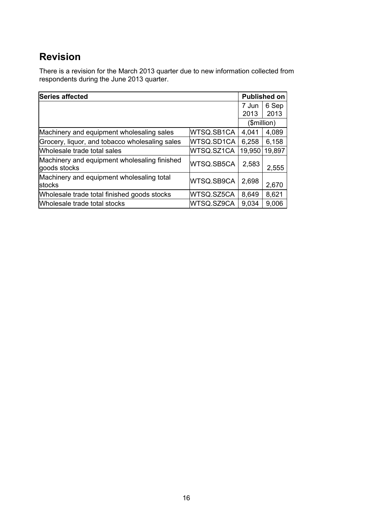### **Revision**

There is a revision for the March 2013 quarter due to new information collected from respondents during the June 2013 quarter.

| Series affected                                              |            |        | <b>Published on</b> |  |
|--------------------------------------------------------------|------------|--------|---------------------|--|
|                                                              |            |        | 6 Sep<br>2013       |  |
|                                                              |            |        | (\$million)         |  |
| Machinery and equipment wholesaling sales                    | WTSQ.SB1CA | 4,041  | 4,089               |  |
| Grocery, liquor, and tobacco wholesaling sales               | WTSQ.SD1CA | 6,258  | 6,158               |  |
| Wholesale trade total sales                                  | WTSQ.SZ1CA | 19,950 | 19,897              |  |
| Machinery and equipment wholesaling finished<br>goods stocks | WTSQ.SB5CA | 2,583  | 2,555               |  |
| Machinery and equipment wholesaling total<br><b>stocks</b>   | WTSQ.SB9CA | 2,698  | 2,670               |  |
| Wholesale trade total finished goods stocks                  | WTSQ.SZ5CA | 8,649  | 8,621               |  |
| Wholesale trade total stocks                                 | WTSQ.SZ9CA | 9,034  | 9,006               |  |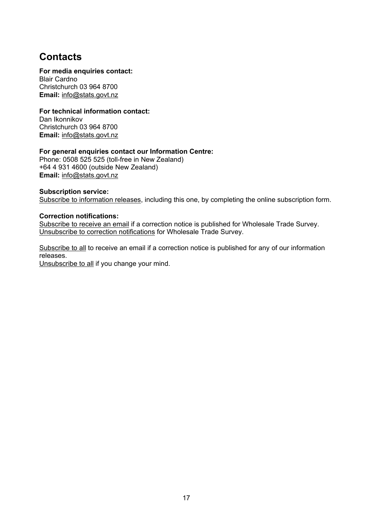### **Contacts**

### **For media enquiries contact:**

Blair Cardno Christchurch 03 964 8700 **Email:** [info@stats.govt.nz](mailto:info@stats.govt.nz)

### **For technical information contact:**

Dan Ikonnikov Christchurch 03 964 8700 **Email:** [info@stats.govt.nz](mailto:info@stats.govt.nz)

### **For general enquiries contact our Information Centre:**

Phone: 0508 525 525 (toll-free in New Zealand) +64 4 931 4600 (outside New Zealand) **Email:** [info@stats.govt.nz](mailto:info@stats.govt.nz)

### **Subscrip[ti](http://www.stats.govt.nz/tools_and_services/services/releases-subscription.aspx)on service:**

[Subscribe](http://www.stats.govt.nz/tools_and_services/services/releases-subscription.aspx) [to](http://www.stats.govt.nz/tools_and_services/services/releases-subscription.aspx) [information](http://www.stats.govt.nz/tools_and_services/services/releases-subscription.aspx) [releases](http://www.stats.govt.nz/tools_and_services/services/releases-subscription.aspx), including this one, by completing the online subscription form.

### **Correction notifications:**

[Subscribe](mailto:subscriptions@stats.govt.nz?subject=Subscribe to correction notifications for Wholesale Trade Survey) [to](mailto:subscriptions@stats.govt.nz?subject=Subscribe to correction notifications for Wholesale Trade Survey) [receive](mailto:subscriptions@stats.govt.nz?subject=Subscribe to correction notifications for Wholesale Trade Survey) [an](mailto:subscriptions@stats.govt.nz?subject=Subscribe to correction notifications for Wholesale Trade Survey) [email](mailto:subscriptions@stats.govt.nz?subject=Subscribe to correction notifications for Wholesale Trade Survey) if a correction notice is published for Wholesale Trade Survey. [Unsubscribe](mailto:subscriptions@stats.govt.nz?subject=Unsubscribe to correction notifications for Wholesale Trade Survey) [to](mailto:subscriptions@stats.govt.nz?subject=Unsubscribe to correction notifications for Wholesale Trade Survey) [correction](mailto:subscriptions@stats.govt.nz?subject=Unsubscribe to correction notifications for Wholesale Trade Survey) [notifications](mailto:subscriptions@stats.govt.nz?subject=Unsubscribe to correction notifications for Wholesale Trade Survey) for Wholesale Trade Survey.

[Subscribe](mailto:subscriptions@stats.govt.nz?subject=Subscribe to correction notifications for all releases) [to](mailto:subscriptions@stats.govt.nz?subject=Subscribe to correction notifications for all releases) [all](mailto:subscriptions@stats.govt.nz?subject=Subscribe to correction notifications for all releases) to receive an email if a correction notice is published for any of our information releases.

[Unsubscribe](mailto:subscriptions@stats.govt.nz?subject=Unsubscribe to correction notifications for all releases) [to](mailto:subscriptions@stats.govt.nz?subject=Unsubscribe to correction notifications for all releases) [all](mailto:subscriptions@stats.govt.nz?subject=Unsubscribe to correction notifications for all releases) if you change your mind.